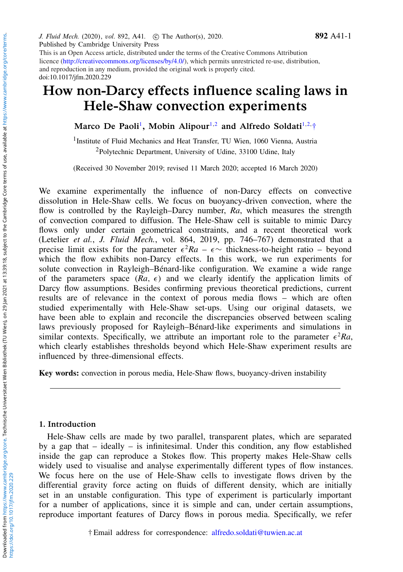Published by Cambridge University Press doi:10.1017/jfm.2020.229 This is an Open Access article, distributed under the terms of the Creative Commons Attribution licence (http://creativecommons.org/licenses/by/4.0/), which permits unrestricted re-use, distribution, and reproduction in any medium, provided the original work is properly cited.

J. Fluid Mech. (2020), vol. 892, A41. (c) The Author(s), 2020.

# How non-Darcy effects influence scaling laws in Hele-Shaw convection experiments

<span id="page-0-0"></span>Marco [De Paoli](https://orcid.org/0000-0002-4709-4185)<sup>[1](#page-0-0)</sup>, Mobin [Alipour](https://orcid.org/0000-0001-8096-259X)<sup>[1,](#page-0-0)[2](#page-0-1)</sup> and [Alfredo](https://orcid.org/0000-0002-7515-7147) Soldati<sup>1[,2,](#page-0-1)</sup>[†](#page-0-2)

<span id="page-0-1"></span><sup>1</sup> Institute of Fluid Mechanics and Heat Transfer, TU Wien, 1060 Vienna, Austria <sup>2</sup>Polytechnic Department, University of Udine, 33100 Udine, Italy

(Received 30 November 2019; revised 11 March 2020; accepted 16 March 2020)

We examine experimentally the influence of non-Darcy effects on convective dissolution in Hele-Shaw cells. We focus on buoyancy-driven convection, where the flow is controlled by the Rayleigh–Darcy number, *Ra*, which measures the strength of convection compared to diffusion. The Hele-Shaw cell is suitable to mimic Darcy flows only under certain geometrical constraints, and a recent theoretical work (Letelier *et al.*, *J. Fluid Mech.*, vol. 864, 2019, pp. 746–767) demonstrated that a precise limit exists for the parameter  $\epsilon^2 Ra - \epsilon \sim$  thickness-to-height ratio – beyond which the flow exhibits non-Darcy effects. In this work, we run experiments for solute convection in Rayleigh–Bénard-like configuration. We examine a wide range of the parameters space  $(Ra, \epsilon)$  and we clearly identify the application limits of Darcy flow assumptions. Besides confirming previous theoretical predictions, current results are of relevance in the context of porous media flows – which are often studied experimentally with Hele-Shaw set-ups. Using our original datasets, we have been able to explain and reconcile the discrepancies observed between scaling laws previously proposed for Rayleigh–Bénard-like experiments and simulations in similar contexts. Specifically, we attribute an important role to the parameter  $\epsilon^2 Ra$ , which clearly establishes thresholds beyond which Hele-Shaw experiment results are influenced by three-dimensional effects.

Key words: convection in porous media, Hele-Shaw flows, buoyancy-driven instability

#### 1. Introduction

Hele-Shaw cells are made by two parallel, transparent plates, which are separated by a gap that – ideally – is infinitesimal. Under this condition, any flow established inside the gap can reproduce a Stokes flow. This property makes Hele-Shaw cells widely used to visualise and analyse experimentally different types of flow instances. We focus here on the use of Hele-Shaw cells to investigate flows driven by the differential gravity force acting on fluids of different density, which are initially set in an unstable configuration. This type of experiment is particularly important for a number of applications, since it is simple and can, under certain assumptions, reproduce important features of Darcy flows in porous media. Specifically, we refer

<span id="page-0-2"></span>† Email address for correspondence: [alfredo.soldati@tuwien.ac.at](mailto:alfredo.soldati@tuwien.ac.at)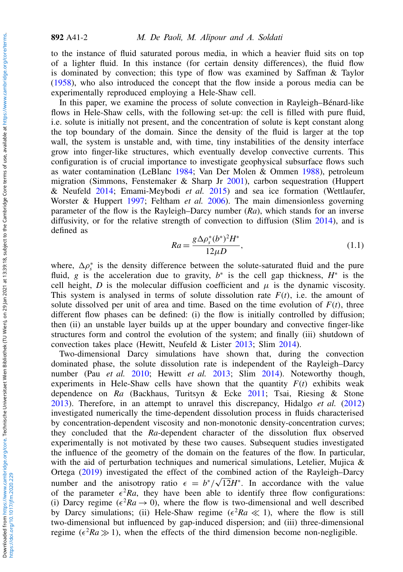to the instance of fluid saturated porous media, in which a heavier fluid sits on top of a lighter fluid. In this instance (for certain density differences), the fluid flow is dominated by convection; this type of flow was examined by Saffman & Taylor [\(1958\)](#page-14-0), who also introduced the concept that the flow inside a porous media can be experimentally reproduced employing a Hele-Shaw cell.

In this paper, we examine the process of solute convection in Rayleigh–Bénard-like flows in Hele-Shaw cells, with the following set-up: the cell is filled with pure fluid, i.e. solute is initially not present, and the concentration of solute is kept constant along the top boundary of the domain. Since the density of the fluid is larger at the top wall, the system is unstable and, with time, tiny instabilities of the density interface grow into finger-like structures, which eventually develop convective currents. This configuration is of crucial importance to investigate geophysical subsurface flows such as water contamination (LeBlanc [1984;](#page-13-0) Van Der Molen & Ommen [1988\)](#page-14-1), petroleum migration (Simmons, Fenstemaker & Sharp Jr [2001\)](#page-14-2), carbon sequestration (Huppert & Neufeld [2014;](#page-13-1) Emami-Meybodi *et al.* [2015\)](#page-13-2) and sea ice formation (Wettlaufer, Worster & Huppert [1997;](#page-14-3) Feltham *et al.* [2006\)](#page-13-3). The main dimensionless governing parameter of the flow is the Rayleigh–Darcy number (*Ra*), which stands for an inverse diffusivity, or for the relative strength of convection to diffusion (Slim [2014\)](#page-14-4), and is defined as

<span id="page-1-0"></span>
$$
Ra = \frac{g\Delta\rho_s^*(b^*)^2H^*}{12\mu D},\tag{1.1}
$$

where,  $\Delta \rho_s^*$  is the density difference between the solute-saturated fluid and the pure fluid, g is the acceleration due to gravity,  $b^*$  is the cell gap thickness,  $H^*$  is the cell height, *D* is the molecular diffusion coefficient and  $\mu$  is the dynamic viscosity. This system is analysed in terms of solute dissolution rate  $F(t)$ , i.e. the amount of solute dissolved per unit of area and time. Based on the time evolution of  $F(t)$ , three different flow phases can be defined: (i) the flow is initially controlled by diffusion; then (ii) an unstable layer builds up at the upper boundary and convective finger-like structures form and control the evolution of the system; and finally (iii) shutdown of convection takes place (Hewitt, Neufeld & Lister [2013;](#page-13-4) Slim [2014\)](#page-14-4).

Two-dimensional Darcy simulations have shown that, during the convection dominated phase, the solute dissolution rate is independent of the Rayleigh–Darcy number (Pau *et al.* [2010;](#page-14-5) Hewitt *et al.* [2013;](#page-13-4) Slim [2014\)](#page-14-4). Noteworthy though, experiments in Hele-Shaw cells have shown that the quantity  $F(t)$  exhibits weak dependence on *Ra* (Backhaus, Turitsyn & Ecke [2011;](#page-13-5) Tsai, Riesing & Stone [2013\)](#page-14-6). Therefore, in an attempt to unravel this discrepancy, Hidalgo *et al.* [\(2012\)](#page-13-6) investigated numerically the time-dependent dissolution process in fluids characterised by concentration-dependent viscosity and non-monotonic density-concentration curves; they concluded that the *Ra*-dependent character of the dissolution flux observed experimentally is not motivated by these two causes. Subsequent studies investigated the influence of the geometry of the domain on the features of the flow. In particular, with the aid of perturbation techniques and numerical simulations, Letelier, Mujica  $\&$ Ortega [\(2019\)](#page-13-7) investigated the effect of the combined action of the Rayleigh–Darcy number and the anisotropy ratio  $\epsilon = b^*/\sqrt{12}H^*$ . In accordance with the value of the parameter  $\epsilon^2 Ra$ , they have been able to identify three flow configurations: (i) Darcy regime ( $\epsilon^2 Ra \rightarrow 0$ ), where the flow is two-dimensional and well described by Darcy simulations; (ii) Hele-Shaw regime  $(\epsilon^2 Ra \ll 1)$ , where the flow is still two-dimensional but influenced by gap-induced dispersion; and (iii) three-dimensional regime ( $\epsilon^2 Ra \gg 1$ ), when the effects of the third dimension become non-negligible.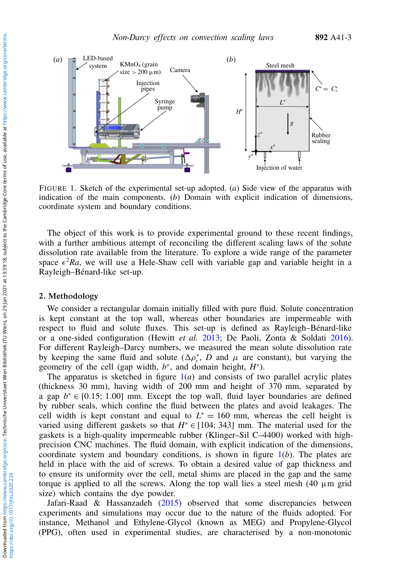<span id="page-2-0"></span>

FIGURE 1. Sketch of the experimental set-up adopted. (*a*) Side view of the apparatus with indication of the main components. (*b*) Domain with explicit indication of dimensions, coordinate system and boundary conditions.

The object of this work is to provide experimental ground to these recent findings, with a further ambitious attempt of reconciling the different scaling laws of the solute dissolution rate available from the literature. To explore a wide range of the parameter space  $\epsilon^2 Ra$ , we will use a Hele-Shaw cell with variable gap and variable height in a Rayleigh–Bénard-like set-up.

## 2. Methodology

We consider a rectangular domain initially filled with pure fluid. Solute concentration is kept constant at the top wall, whereas other boundaries are impermeable with respect to fluid and solute fluxes. This set-up is defined as Rayleigh–Bénard-like or a one-sided configuration (Hewitt *et al.* [2013;](#page-13-4) De Paoli, Zonta & Soldati [2016\)](#page-13-8). For different Rayleigh–Darcy numbers, we measured the mean solute dissolution rate by keeping the same fluid and solute  $(\Delta \rho_s^*, D)$  and  $\mu$  are constant), but varying the geometry of the cell (gap width,  $b^*$ , and domain height,  $H^*$ ).

The apparatus is sketched in figure  $1(a)$  $1(a)$  and consists of two parallel acrylic plates (thickness 30 mm), having width of 200 mm and height of 370 mm, separated by a gap  $b^* \in [0.15; 1.00]$  mm. Except the top wall, fluid layer boundaries are defined by rubber seals, which confine the fluid between the plates and avoid leakages. The cell width is kept constant and equal to  $L^* = 160$  mm, whereas the cell height is varied using different gaskets so that  $H^* \in [104; 343]$  mm. The material used for the gaskets is a high-quality impermeable rubber (Klinger–Sil C–4400) worked with highprecision CNC machines. The fluid domain, with explicit indication of the dimensions, coordinate system and boundary conditions, is shown in figure [1\(](#page-2-0)*b*). The plates are held in place with the aid of screws. To obtain a desired value of gap thickness and to ensure its uniformity over the cell, metal shims are placed in the gap and the same torque is applied to all the screws. Along the top wall lies a steel mesh  $(40 \mu m)$  grid size) which contains the dye powder.

Jafari-Raad & Hassanzadeh [\(2015\)](#page-13-9) observed that some discrepancies between experiments and simulations may occur due to the nature of the fluids adopted. For instance, Methanol and Ethylene-Glycol (known as MEG) and Propylene-Glycol (PPG), often used in experimental studies, are characterised by a non-monotonic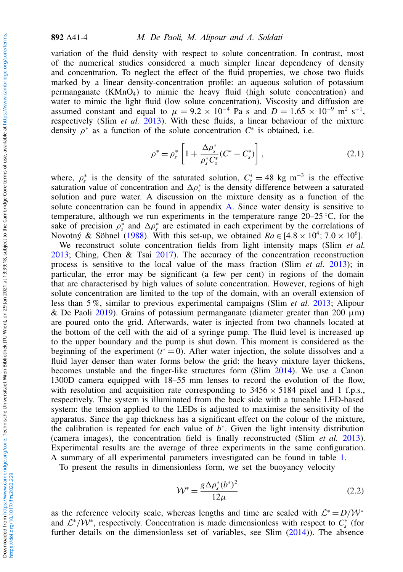variation of the fluid density with respect to solute concentration. In contrast, most of the numerical studies considered a much simpler linear dependency of density and concentration. To neglect the effect of the fluid properties, we chose two fluids marked by a linear density-concentration profile: an aqueous solution of potassium permanganate  $(KMnO<sub>4</sub>)$  to mimic the heavy fluid (high solute concentration) and water to mimic the light fluid (low solute concentration). Viscosity and diffusion are assumed constant and equal to  $\mu = 9.2 \times 10^{-4}$  Pa s and  $D = 1.65 \times 10^{-9}$  m<sup>2</sup> s<sup>-1</sup>, respectively (Slim *et al.* [2013\)](#page-14-7). With these fluids, a linear behaviour of the mixture density  $\rho^*$  as a function of the solute concentration  $C^*$  is obtained, i.e.

<span id="page-3-1"></span>
$$
\rho^* = \rho_s^* \left[ 1 + \frac{\Delta \rho_s^*}{\rho_s^* C_s^*} (C^* - C_s^*) \right],\tag{2.1}
$$

where,  $\rho_s^*$  is the density of the saturated solution,  $C_s^* = 48 \text{ kg m}^{-3}$  is the effective saturation value of concentration and  $\Delta \rho_s^*$  is the density difference between a saturated solution and pure water. A discussion on the mixture density as a function of the solute concentration can be found in appendix [A.](#page-12-0) Since water density is sensitive to temperature, although we run experiments in the temperature range  $20-25$ °C, for the sake of precision  $\rho_s^*$  and  $\Delta \rho_s^*$  are estimated in each experiment by the correlations of Novotný & Söhnel [\(1988\)](#page-13-10). With this set-up, we obtained  $Ra \in [4.8 \times 10^4; 7.0 \times 10^6]$ .

We reconstruct solute concentration fields from light intensity maps (Slim *et al.* [2013;](#page-14-7) Ching, Chen & Tsai [2017\)](#page-13-11). The accuracy of the concentration reconstruction process is sensitive to the local value of the mass fraction (Slim *et al.* [2013\)](#page-14-7); in particular, the error may be significant (a few per cent) in regions of the domain that are characterised by high values of solute concentration. However, regions of high solute concentration are limited to the top of the domain, with an overall extension of less than 5 %, similar to previous experimental campaigns (Slim *et al.* [2013;](#page-14-7) Alipour & De Paoli [2019\)](#page-13-12). Grains of potassium permanganate (diameter greater than 200  $\mu$ m) are poured onto the grid. Afterwards, water is injected from two channels located at the bottom of the cell with the aid of a syringe pump. The fluid level is increased up to the upper boundary and the pump is shut down. This moment is considered as the beginning of the experiment  $(t^*=0)$ . After water injection, the solute dissolves and a fluid layer denser than water forms below the grid: the heavy mixture layer thickens, becomes unstable and the finger-like structures form (Slim [2014\)](#page-14-4). We use a Canon 1300D camera equipped with 18–55 mm lenses to record the evolution of the flow, with resolution and acquisition rate corresponding to  $3456 \times 5184$  pixel and 1 f.p.s., respectively. The system is illuminated from the back side with a tuneable LED-based system: the tension applied to the LEDs is adjusted to maximise the sensitivity of the apparatus. Since the gap thickness has a significant effect on the colour of the mixture, the calibration is repeated for each value of  $b^*$ . Given the light intensity distribution (camera images), the concentration field is finally reconstructed (Slim *et al.* [2013\)](#page-14-7). Experimental results are the average of three experiments in the same configuration. A summary of all experimental parameters investigated can be found in table [1.](#page-4-0)

To present the results in dimensionless form, we set the buoyancy velocity

<span id="page-3-0"></span>
$$
\mathcal{W}^* = \frac{g \Delta \rho_s^*(b^*)^2}{12\mu} \tag{2.2}
$$

as the reference velocity scale, whereas lengths and time are scaled with  $\mathcal{L}^* = D/\mathcal{W}^*$ and  $\mathcal{L}^*/\mathcal{W}^*$ , respectively. Concentration is made dimensionless with respect to  $C_s^*$  (for further details on the dimensionless set of variables, see Slim [\(2014\)](#page-14-4)). The absence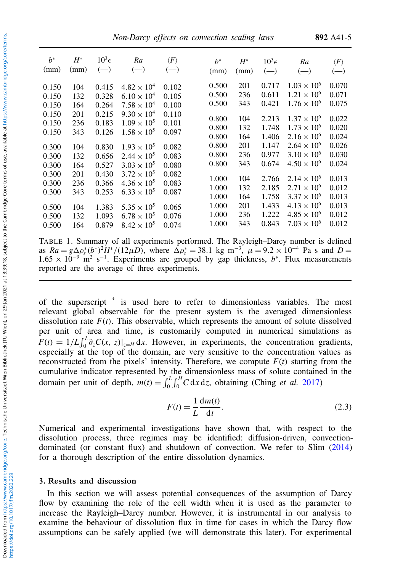Non-Darcy effects on convection scaling laws 892 A41-5

<span id="page-4-0"></span>

| $h^*$ | $H^*$ | $10^3\epsilon$ | Ra                   | $\langle F \rangle$ | $h^*$ | $H^*$ | $10^3\epsilon$ | Ra                   | $\langle F\rangle$ |
|-------|-------|----------------|----------------------|---------------------|-------|-------|----------------|----------------------|--------------------|
| (mm)  | (mm)  | $(-)$          | $(-)$                | $(-)$               | (mm)  | (mm)  | $(-)$          | $(-)$                | $(-)$              |
| 0.150 | 104   | 0.415          | $4.82 \times 10^{4}$ | 0.102               | 0.500 | 201   | 0.717          | $1.03 \times 10^{6}$ | 0.070              |
| 0.150 | 132   | 0.328          | $6.10 \times 10^{4}$ | 0.105               | 0.500 | 236   | 0.611          | $1.21 \times 10^{6}$ | 0.071              |
| 0.150 | 164   | 0.264          | $7.58 \times 10^{4}$ | 0.100               | 0.500 | 343   | 0.421          | $1.76 \times 10^{6}$ | 0.075              |
| 0.150 | 201   | 0.215          | $9.30 \times 10^{4}$ | 0.110               | 0.800 | 104   | 2.213          | $1.37 \times 10^{6}$ | 0.022              |
| 0.150 | 236   | 0.183          | $1.09 \times 10^{5}$ | 0.101               | 0.800 | 132   | 1.748          | $1.73 \times 10^{6}$ | 0.020              |
| 0.150 | 343   | 0.126          | $1.58 \times 10^{5}$ | 0.097               | 0.800 | 164   | 1.406          | $2.16 \times 10^{6}$ | 0.024              |
| 0.300 | 104   | 0.830          | $1.93 \times 10^{5}$ | 0.082               | 0.800 | 201   | 1.147          | $2.64 \times 10^{6}$ | 0.026              |
| 0.300 | 132   | 0.656          | $2.44 \times 10^{5}$ | 0.083               | 0.800 | 236   | 0.977          | $3.10 \times 10^{6}$ | 0.030              |
| 0.300 | 164   | 0.527          | $3.03 \times 10^{5}$ | 0.080               | 0.800 | 343   | 0.674          | $4.50 \times 10^{6}$ | 0.024              |
| 0.300 | 201   | 0.430          | $3.72 \times 10^{5}$ | 0.082               | 1.000 | 104   | 2.766          | $2.14 \times 10^{6}$ | 0.013              |
| 0.300 | 236   | 0.366          | $4.36 \times 10^{5}$ | 0.083               | 1.000 | 132   | 2.185          | $2.71 \times 10^{6}$ | 0.012              |
| 0.300 | 343   | 0.253          | $6.33 \times 10^{5}$ | 0.087               | 1.000 | 164   | 1.758          | $3.37 \times 10^{6}$ | 0.013              |
| 0.500 | 104   | 1.383          | $5.35 \times 10^{5}$ | 0.065               | 1.000 | 201   | 1.433          | $4.13 \times 10^{6}$ | 0.013              |
| 0.500 | 132   | 1.093          | $6.78 \times 10^{5}$ | 0.076               | 1.000 | 236   | 1.222          | $4.85 \times 10^{6}$ | 0.012              |
| 0.500 | 164   | 0.879          | $8.42 \times 10^{5}$ | 0.074               | 1.000 | 343   | 0.843          | $7.03 \times 10^{6}$ | 0.012              |

TABLE 1. Summary of all experiments performed. The Rayleigh–Darcy number is defined as  $Ra = g\Delta\rho_s^*(b^*)^2H^*/(12\mu D)$ , where  $\Delta\rho_s^* = 38.1$  kg m<sup>-3</sup>,  $\mu = 9.2 \times 10^{-4}$  Pa s and  $D =$ 1.65 × 10<sup>-9</sup> m<sup>2</sup> s<sup>-1</sup>. Experiments are grouped by gap thickness, b<sup>\*</sup>. Flux measurements reported are the average of three experiments.

of the superscript \* is used here to refer to dimensionless variables. The most relevant global observable for the present system is the averaged dimensionless dissolution rate  $F(t)$ . This observable, which represents the amount of solute dissolved per unit of area and time, is customarily computed in numerical simulations as  $F(t) = 1/L \int_0^L \partial_z C(x, z)|_{z=H} dx$ . However, in experiments, the concentration gradients, especially at the top of the domain, are very sensitive to the concentration values as reconstructed from the pixels' intensity. Therefore, we compute  $F(t)$  starting from the cumulative indicator represented by the dimensionless mass of solute contained in the domain per unit of depth,  $m(t) = \int_0^L \int_0^H C \, dx \, dz$ , obtaining (Ching *et al.* [2017\)](#page-13-11)

<span id="page-4-1"></span>
$$
F(t) = \frac{1}{L} \frac{dm(t)}{dt}.
$$
\n(2.3)

Numerical and experimental investigations have shown that, with respect to the dissolution process, three regimes may be identified: diffusion-driven, convectiondominated (or constant flux) and shutdown of convection. We refer to Slim [\(2014\)](#page-14-4) for a thorough description of the entire dissolution dynamics.

## 3. Results and discussion

In this section we will assess potential consequences of the assumption of Darcy flow by examining the role of the cell width when it is used as the parameter to increase the Rayleigh–Darcy number. However, it is instrumental in our analysis to examine the behaviour of dissolution flux in time for cases in which the Darcy flow assumptions can be safely applied (we will demonstrate this later). For experimental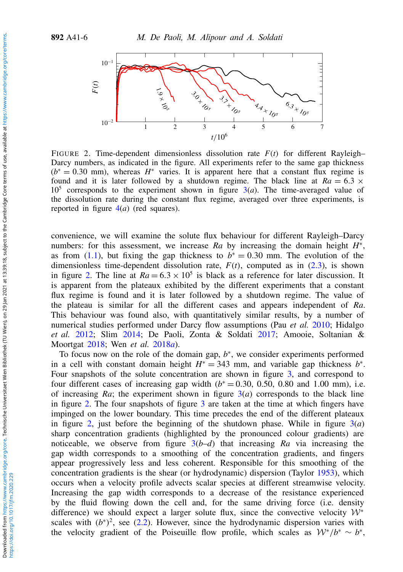<span id="page-5-0"></span>

FIGURE 2. Time-dependent dimensionless dissolution rate *F*(*t*) for different Rayleigh– Darcy numbers, as indicated in the figure. All experiments refer to the same gap thickness  $(b^* = 0.30$  mm), whereas  $H^*$  varies. It is apparent here that a constant flux regime is found and it is later followed by a shutdown regime. The black line at  $Ra = 6.3 \times$  $10<sup>5</sup>$  corresponds to the experiment shown in figure  $3(a)$  $3(a)$ . The time-averaged value of the dissolution rate during the constant flux regime, averaged over three experiments, is reported in figure [4\(](#page-7-0)*a*) (red squares).

convenience, we will examine the solute flux behaviour for different Rayleigh–Darcy numbers: for this assessment, we increase  $Ra$  by increasing the domain height  $H^*$ , as from [\(1.1\)](#page-1-0), but fixing the gap thickness to  $b^* = 0.30$  mm. The evolution of the dimensionless time-dependent dissolution rate,  $F(t)$ , computed as in  $(2.3)$ , is shown in figure [2.](#page-5-0) The line at  $Ra = 6.3 \times 10^5$  is black as a reference for later discussion. It is apparent from the plateaux exhibited by the different experiments that a constant flux regime is found and it is later followed by a shutdown regime. The value of the plateau is similar for all the different cases and appears independent of *Ra*. This behaviour was found also, with quantitatively similar results, by a number of numerical studies performed under Darcy flow assumptions (Pau *et al.* [2010;](#page-14-5) Hidalgo *et al.* [2012;](#page-13-6) Slim [2014;](#page-14-4) De Paoli, Zonta & Soldati [2017;](#page-13-13) Amooie, Soltanian & Moortgat [2018;](#page-13-14) Wen *et al.* [2018](#page-14-8)*a*).

To focus now on the role of the domain gap,  $b^*$ , we consider experiments performed in a cell with constant domain height  $H^* = 343$  mm, and variable gap thickness  $b^*$ . Four snapshots of the solute concentration are shown in figure [3,](#page-6-0) and correspond to four different cases of increasing gap width  $(b^* = 0.30, 0.50, 0.80$  and 1.00 mm), i.e. of increasing  $Ra$ ; the experiment shown in figure  $3(a)$  $3(a)$  corresponds to the black line in figure [2.](#page-5-0) The four snapshots of figure [3](#page-6-0) are taken at the time at which fingers have impinged on the lower boundary. This time precedes the end of the different plateaux in figure [2,](#page-5-0) just before the beginning of the shutdown phase. While in figure [3\(](#page-6-0)*a*) sharp concentration gradients (highlighted by the pronounced colour gradients) are noticeable, we observe from figure [3\(](#page-6-0)*b*–*d*) that increasing *Ra* via increasing the gap width corresponds to a smoothing of the concentration gradients, and fingers appear progressively less and less coherent. Responsible for this smoothing of the concentration gradients is the shear (or hydrodynamic) dispersion (Taylor [1953\)](#page-14-9), which occurs when a velocity profile advects scalar species at different streamwise velocity. Increasing the gap width corresponds to a decrease of the resistance experienced by the fluid flowing down the cell and, for the same driving force (i.e. density difference) we should expect a larger solute flux, since the convective velocity  $W^*$ scales with  $(b^*)^2$ , see [\(2.2\)](#page-3-0). However, since the hydrodynamic dispersion varies with the velocity gradient of the Poiseuille flow profile, which scales as  $W^*/b^* \sim b^*$ ,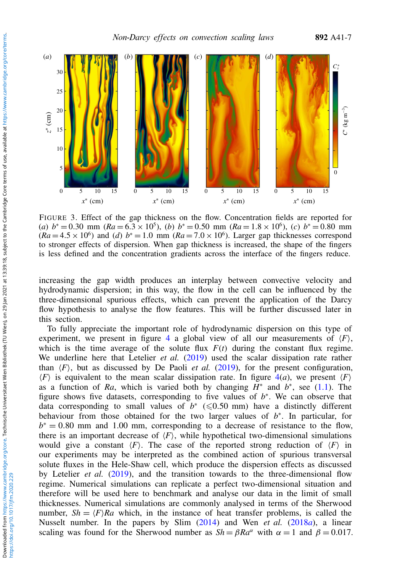<span id="page-6-0"></span>

FIGURE 3. Effect of the gap thickness on the flow. Concentration fields are reported for (*a*)  $b^* = 0.30$  mm ( $Ra = 6.3 \times 10^5$ ), (*b*)  $b^* = 0.50$  mm ( $Ra = 1.8 \times 10^6$ ), (*c*)  $b^* = 0.80$  mm  $(Ra = 4.5 \times 10^6)$  and (*d*)  $b^* = 1.0$  mm  $(Ra = 7.0 \times 10^6)$ . Larger gap thicknesses correspond to stronger effects of dispersion. When gap thickness is increased, the shape of the fingers is less defined and the concentration gradients across the interface of the fingers reduce.

increasing the gap width produces an interplay between convective velocity and hydrodynamic dispersion; in this way, the flow in the cell can be influenced by the three-dimensional spurious effects, which can prevent the application of the Darcy flow hypothesis to analyse the flow features. This will be further discussed later in this section.

To fully appreciate the important role of hydrodynamic dispersion on this type of experiment, we present in figure [4](#page-7-0) a global view of all our measurements of  $\langle F \rangle$ , which is the time average of the solute flux  $F(t)$  during the constant flux regime. We underline here that Letelier *et al.* [\(2019\)](#page-13-7) used the scalar dissipation rate rather than  $\langle F \rangle$ , but as discussed by De Paoli *et al.* [\(2019\)](#page-13-15), for the present configuration,  $\langle F \rangle$  is equivalent to the mean scalar dissipation rate. In figure  $4(a)$  $4(a)$ , we present  $\langle F \rangle$ as a function of *Ra*, which is varied both by changing  $H^*$  and  $b^*$ , see [\(1.1\)](#page-1-0). The figure shows five datasets, corresponding to five values of  $b^*$ . We can observe that data corresponding to small values of  $b^*$  ( $\leq 0.50$  mm) have a distinctly different behaviour from those obtained for the two larger values of *b* ∗ . In particular, for  $b^* = 0.80$  mm and 1.00 mm, corresponding to a decrease of resistance to the flow, there is an important decrease of  $\langle F \rangle$ , while hypothetical two-dimensional simulations would give a constant  $\langle F \rangle$ . The case of the reported strong reduction of  $\langle F \rangle$  in our experiments may be interpreted as the combined action of spurious transversal solute fluxes in the Hele-Shaw cell, which produce the dispersion effects as discussed by Letelier *et al.* [\(2019\)](#page-13-7), and the transition towards to the three-dimensional flow regime. Numerical simulations can replicate a perfect two-dimensional situation and therefore will be used here to benchmark and analyse our data in the limit of small thicknesses. Numerical simulations are commonly analysed in terms of the Sherwood number,  $Sh = \langle F \rangle Ra$  which, in the instance of heat transfer problems, is called the Nusselt number. In the papers by Slim [\(2014\)](#page-14-4) and Wen *et al.* [\(2018](#page-14-8)*a*), a linear scaling was found for the Sherwood number as  $Sh = \beta Ra^{\alpha}$  with  $\alpha = 1$  and  $\beta = 0.017$ .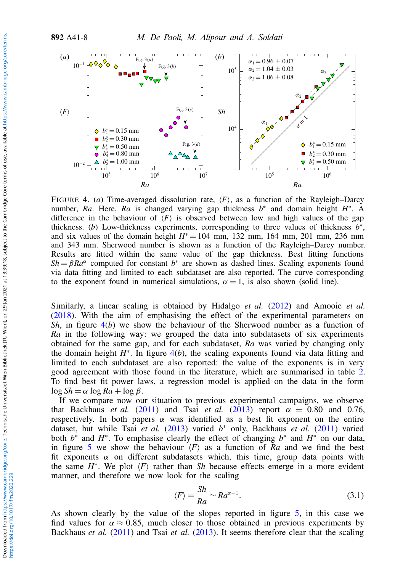<span id="page-7-0"></span>

FIGURE 4. (*a*) Time-averaged dissolution rate,  $\langle F \rangle$ , as a function of the Rayleigh–Darcy number, *Ra*. Here, *Ra* is changed varying gap thickness *b*<sup>∗</sup> and domain height *H*<sup>∗</sup>. A difference in the behaviour of  $\langle F \rangle$  is observed between low and high values of the gap thickness. (*b*) Low-thickness experiments, corresponding to three values of thickness  $b^*$ , and six values of the domain height  $H^* = 104$  mm, 132 mm, 164 mm, 201 mm, 236 mm and 343 mm. Sherwood number is shown as a function of the Rayleigh–Darcy number. Results are fitted within the same value of the gap thickness. Best fitting functions  $Sh = \beta Ra^{\alpha}$  computed for constant  $b^*$  are shown as dashed lines. Scaling exponents found via data fitting and limited to each subdataset are also reported. The curve corresponding to the exponent found in numerical simulations,  $\alpha = 1$ , is also shown (solid line).

Similarly, a linear scaling is obtained by Hidalgo *et al.* [\(2012\)](#page-13-6) and Amooie *et al.* [\(2018\)](#page-13-14). With the aim of emphasising the effect of the experimental parameters on *Sh*, in figure [4\(](#page-7-0)*b*) we show the behaviour of the Sherwood number as a function of *Ra* in the following way: we grouped the data into subdatasets of six experiments obtained for the same gap, and for each subdataset, *Ra* was varied by changing only the domain height  $H^*$ . In figure  $4(b)$  $4(b)$ , the scaling exponents found via data fitting and limited to each subdataset are also reported: the value of the exponents is in very good agreement with those found in the literature, which are summarised in table [2.](#page-8-0) To find best fit power laws, a regression model is applied on the data in the form  $\log Sh = \alpha \log Ra + \log \beta$ .

If we compare now our situation to previous experimental campaigns, we observe that Backhaus *et al.* [\(2011\)](#page-13-5) and Tsai *et al.* [\(2013\)](#page-14-6) report  $\alpha = 0.80$  and 0.76, respectively. In both papers  $\alpha$  was identified as a best fit exponent on the entire dataset, but while Tsai *et al.* [\(2013\)](#page-14-6) varied *b* <sup>∗</sup> only, Backhaus *et al.* [\(2011\)](#page-13-5) varied both  $b^*$  and  $H^*$ . To emphasise clearly the effect of changing  $b^*$  and  $H^*$  on our data, in figure [5](#page-8-1) we show the behaviour  $\langle F \rangle$  as a function of *Ra* and we find the best fit exponents  $\alpha$  on different subdatasets which, this time, group data points with the same  $H^*$ . We plot  $\langle F \rangle$  rather than *Sh* because effects emerge in a more evident manner, and therefore we now look for the scaling

$$
\langle F \rangle = \frac{Sh}{Ra} \sim Ra^{\alpha - 1}.
$$
\n(3.1)

As shown clearly by the value of the slopes reported in figure [5,](#page-8-1) in this case we find values for  $\alpha \approx 0.85$ , much closer to those obtained in previous experiments by Backhaus *et al.* [\(2011\)](#page-13-5) and Tsai *et al.* [\(2013\)](#page-14-6). It seems therefore clear that the scaling

https://doi.org/10.1017/jfm.2020.229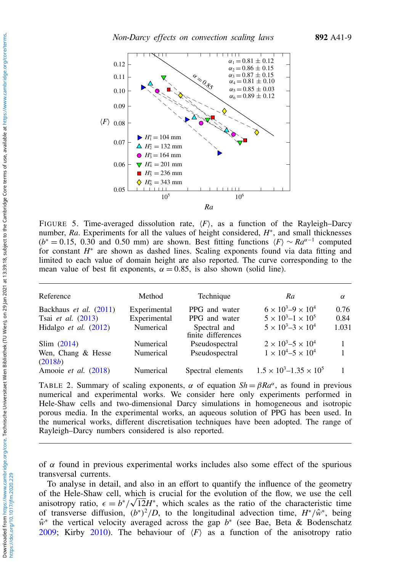<span id="page-8-1"></span>

FIGURE 5. Time-averaged dissolution rate,  $\langle F \rangle$ , as a function of the Rayleigh–Darcy number, Ra. Experiments for all the values of height considered,  $H^*$ , and small thicknesses  $(b^* = 0.15, 0.30$  and 0.50 mm) are shown. Best fitting functions  $\langle F \rangle \sim Ra^{\alpha-1}$  computed for constant  $H^*$  are shown as dashed lines. Scaling exponents found via data fitting and limited to each value of domain height are also reported. The curve corresponding to the mean value of best fit exponents,  $\alpha = 0.85$ , is also shown (solid line).

<span id="page-8-0"></span>

| Reference                      | Method       | Technique                          | Ra                                   | $\alpha$ |
|--------------------------------|--------------|------------------------------------|--------------------------------------|----------|
| Backhaus et al. (2011)         | Experimental | PPG and water                      | $6 \times 10^3 - 9 \times 10^4$      | 0.76     |
| Tsai et al. (2013)             | Experimental | PPG and water                      | $5 \times 10^3 - 1 \times 10^5$      | 0.84     |
| Hidalgo <i>et al.</i> $(2012)$ | Numerical    | Spectral and<br>finite differences | $5 \times 10^3 - 3 \times 10^4$      | 1.031    |
| Slim (2014)                    | Numerical    | Pseudospectral                     | $2 \times 10^3 - 5 \times 10^4$      | 1        |
| Wen, Chang & Hesse<br>(2018b)  | Numerical    | Pseudospectral                     | $1 \times 10^4 - 5 \times 10^4$      |          |
| Amooie et al. (2018)           | Numerical    | Spectral elements                  | $1.5 \times 10^3 - 1.35 \times 10^5$ |          |

TABLE 2. Summary of scaling exponents,  $\alpha$  of equation  $Sh = \beta Ra^{\alpha}$ , as found in previous numerical and experimental works. We consider here only experiments performed in Hele-Shaw cells and two-dimensional Darcy simulations in homogeneous and isotropic porous media. In the experimental works, an aqueous solution of PPG has been used. In the numerical works, different discretisation techniques have been adopted. The range of Rayleigh–Darcy numbers considered is also reported.

of  $\alpha$  found in previous experimental works includes also some effect of the spurious transversal currents.

To analyse in detail, and also in an effort to quantify the influence of the geometry of the Hele-Shaw cell, which is crucial for the evolution of the flow, we use the cell anisotropy ratio,  $\epsilon = b^*/\sqrt{12}H^*$ , which scales as the ratio of the characteristic time of transverse diffusion,  $(b^*)^2/D$ , to the longitudinal advection time,  $H^*/\hat{w}^*$ , being  $\hat{w}^*$  the vertical velocity averaged across the gap *b*<sup>∗</sup> (see Bae, Beta & Bodenschatz [2009;](#page-13-16) Kirby [2010\)](#page-13-17). The behaviour of  $\langle F \rangle$  as a function of the anisotropy ratio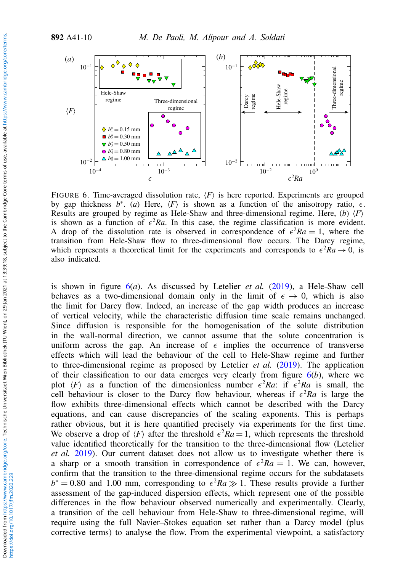<span id="page-9-0"></span>

FIGURE 6. Time-averaged dissolution rate,  $\langle F \rangle$  is here reported. Experiments are grouped by gap thickness  $b^*$ . (*a*) Here,  $\langle F \rangle$  is shown as a function of the anisotropy ratio,  $\epsilon$ . Results are grouped by regime as Hele-Shaw and three-dimensional regime. Here, (*b*)  $\langle F \rangle$ is shown as a function of  $\epsilon^2 Ra$ . In this case, the regime classification is more evident. A drop of the dissolution rate is observed in correspondence of  $\epsilon^2 Ra = 1$ , where the transition from Hele-Shaw flow to three-dimensional flow occurs. The Darcy regime, which represents a theoretical limit for the experiments and corresponds to  $\epsilon^2 Ra \rightarrow 0$ , is also indicated.

is shown in figure [6\(](#page-9-0)*a*). As discussed by Letelier *et al.* [\(2019\)](#page-13-7), a Hele-Shaw cell behaves as a two-dimensional domain only in the limit of  $\epsilon \to 0$ , which is also the limit for Darcy flow. Indeed, an increase of the gap width produces an increase of vertical velocity, while the characteristic diffusion time scale remains unchanged. Since diffusion is responsible for the homogenisation of the solute distribution in the wall-normal direction, we cannot assume that the solute concentration is uniform across the gap. An increase of  $\epsilon$  implies the occurrence of transverse effects which will lead the behaviour of the cell to Hele-Shaw regime and further to three-dimensional regime as proposed by Letelier *et al.* [\(2019\)](#page-13-7). The application of their classification to our data emerges very clearly from figure [6\(](#page-9-0)*b*), where we plot  $\langle F \rangle$  as a function of the dimensionless number  $\epsilon^2 Ra$ : if  $\epsilon^2 Ra$  is small, the cell behaviour is closer to the Darcy flow behaviour, whereas if  $\epsilon^2 Ra$  is large the flow exhibits three-dimensional effects which cannot be described with the Darcy equations, and can cause discrepancies of the scaling exponents. This is perhaps rather obvious, but it is here quantified precisely via experiments for the first time. We observe a drop of  $\langle F \rangle$  after the threshold  $\epsilon^2 Ra = 1$ , which represents the threshold value identified theoretically for the transition to the three-dimensional flow (Letelier *et al.* [2019\)](#page-13-7). Our current dataset does not allow us to investigate whether there is a sharp or a smooth transition in correspondence of  $\epsilon^2 Ra = 1$ . We can, however, confirm that the transition to the three-dimensional regime occurs for the subdatasets  $b^* = 0.80$  and 1.00 mm, corresponding to  $\epsilon^2 Ra \gg 1$ . These results provide a further assessment of the gap-induced dispersion effects, which represent one of the possible differences in the flow behaviour observed numerically and experimentally. Clearly, a transition of the cell behaviour from Hele-Shaw to three-dimensional regime, will require using the full Navier–Stokes equation set rather than a Darcy model (plus corrective terms) to analyse the flow. From the experimental viewpoint, a satisfactory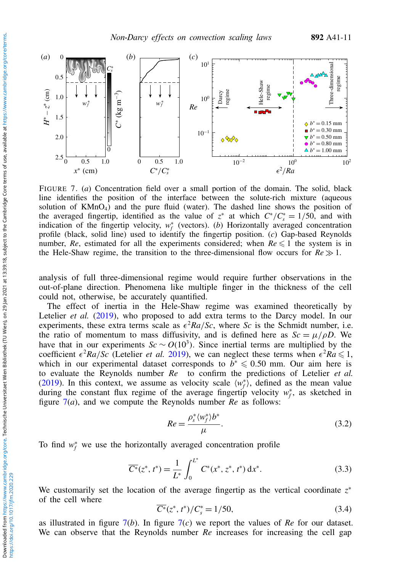<span id="page-10-0"></span>

FIGURE 7. (*a*) Concentration field over a small portion of the domain. The solid, black line identifies the position of the interface between the solute-rich mixture (aqueous solution of  $KMnO<sub>4</sub>$ ) and the pure fluid (water). The dashed line shows the position of the averaged fingertip, identified as the value of  $z^*$  at which  $C^*/C_s^* = 1/50$ , and with indication of the fingertip velocity,  $w_f^*$  (vectors). (*b*) Horizontally averaged concentration profile (black, solid line) used to identify the fingertip position. (*c*) Gap-based Reynolds number,  $Re$ , estimated for all the experiments considered; when  $Re \leq 1$  the system is in the Hele-Shaw regime, the transition to the three-dimensional flow occurs for  $Re \gg 1$ .

analysis of full three-dimensional regime would require further observations in the out-of-plane direction. Phenomena like multiple finger in the thickness of the cell could not, otherwise, be accurately quantified.

The effect of inertia in the Hele-Shaw regime was examined theoretically by Letelier *et al.* [\(2019\)](#page-13-7), who proposed to add extra terms to the Darcy model. In our experiments, these extra terms scale as  $\epsilon^2 Ra/Sc$ , where *Sc* is the Schmidt number, i.e. the ratio of momentum to mass diffusivity, and is defined here as  $Sc = \mu/\rho D$ . We have that in our experiments  $Sc \sim O(10^3)$ . Since inertial terms are multiplied by the coefficient  $\epsilon^2 Ra/Sc$  (Letelier *et al.* [2019\)](#page-13-7), we can neglect these terms when  $\epsilon^2 Ra \leq 1$ , which in our experimental dataset corresponds to  $b^* \leq 0.50$  mm. Our aim here is to evaluate the Reynolds number *Re* to confirm the predictions of Letelier *et al.* [\(2019\)](#page-13-7). In this context, we assume as velocity scale  $\langle w_f^* \rangle$ , defined as the mean value during the constant flux regime of the average fingertip velocity  $w_f^*$ , as sketched in figure [7\(](#page-10-0)*a*), and we compute the Reynolds number *Re* as follows:

$$
Re = \frac{\rho_s^* \langle w_f^* \rangle b^*}{\mu}.
$$
\n(3.2)

To find  $w_f^*$  we use the horizontally averaged concentration profile

$$
\overline{C^*}(z^*, t^*) = \frac{1}{L^*} \int_0^{L^*} C^*(x^*, z^*, t^*) \, \mathrm{d}x^*.
$$
 (3.3)

We customarily set the location of the average fingertip as the vertical coordinate *z* ∗ of the cell where

$$
\overline{C^*}(z^*, t^*)/C_s^* = 1/50,
$$
\n(3.4)

as illustrated in figure  $7(b)$  $7(b)$ . In figure  $7(c)$  we report the values of *Re* for our dataset. We can observe that the Reynolds number *Re* increases for increasing the cell gap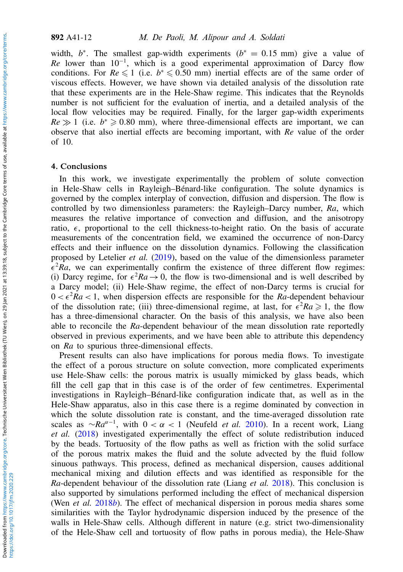width,  $b^*$ . The smallest gap-width experiments ( $b^* = 0.15$  mm) give a value of *Re* lower than 10<sup>-1</sup>, which is a good experimental approximation of Darcy flow conditions. For  $Re \le 1$  (i.e.  $b^* \le 0.50$  mm) inertial effects are of the same order of viscous effects. However, we have shown via detailed analysis of the dissolution rate that these experiments are in the Hele-Shaw regime. This indicates that the Reynolds number is not sufficient for the evaluation of inertia, and a detailed analysis of the local flow velocities may be required. Finally, for the larger gap-width experiments  $Re \gg 1$  (i.e.  $b^* \ge 0.80$  mm), where three-dimensional effects are important, we can observe that also inertial effects are becoming important, with *Re* value of the order of 10.

#### 4. Conclusions

In this work, we investigate experimentally the problem of solute convection in Hele-Shaw cells in Rayleigh–Bénard-like configuration. The solute dynamics is governed by the complex interplay of convection, diffusion and dispersion. The flow is controlled by two dimensionless parameters: the Rayleigh–Darcy number, *Ra*, which measures the relative importance of convection and diffusion, and the anisotropy ratio,  $\epsilon$ , proportional to the cell thickness-to-height ratio. On the basis of accurate measurements of the concentration field, we examined the occurrence of non-Darcy effects and their influence on the dissolution dynamics. Following the classification proposed by Letelier *et al.* [\(2019\)](#page-13-7), based on the value of the dimensionless parameter  $\epsilon^2 Ra$ , we can experimentally confirm the existence of three different flow regimes: (i) Darcy regime, for  $\epsilon^2 Ra \rightarrow 0$ , the flow is two-dimensional and is well described by a Darcy model; (ii) Hele-Shaw regime, the effect of non-Darcy terms is crucial for  $0 < \epsilon^2 Ra < 1$ , when dispersion effects are responsible for the *Ra*-dependent behaviour of the dissolution rate; (iii) three-dimensional regime, at last, for  $\epsilon^2 Ra \ge 1$ , the flow has a three-dimensional character. On the basis of this analysis, we have also been able to reconcile the *Ra*-dependent behaviour of the mean dissolution rate reportedly observed in previous experiments, and we have been able to attribute this dependency on *Ra* to spurious three-dimensional effects.

Present results can also have implications for porous media flows. To investigate the effect of a porous structure on solute convection, more complicated experiments use Hele-Shaw cells: the porous matrix is usually mimicked by glass beads, which fill the cell gap that in this case is of the order of few centimetres. Experimental investigations in Rayleigh–Bénard-like configuration indicate that, as well as in the Hele-Shaw apparatus, also in this case there is a regime dominated by convection in which the solute dissolution rate is constant, and the time-averaged dissolution rate scales as  $\sim Ra^{\alpha-1}$ , with  $0 < \alpha < 1$  (Neufeld *et al.* [2010\)](#page-13-18). In a recent work, Liang *et al.* [\(2018\)](#page-13-19) investigated experimentally the effect of solute redistribution induced by the beads. Tortuosity of the flow paths as well as friction with the solid surface of the porous matrix makes the fluid and the solute advected by the fluid follow sinuous pathways. This process, defined as mechanical dispersion, causes additional mechanical mixing and dilution effects and was identified as responsible for the *Ra*-dependent behaviour of the dissolution rate (Liang *et al.* [2018\)](#page-13-19). This conclusion is also supported by simulations performed including the effect of mechanical dispersion (Wen *et al.* [2018](#page-14-10)*b*). The effect of mechanical dispersion in porous media shares some similarities with the Taylor hydrodynamic dispersion induced by the presence of the walls in Hele-Shaw cells. Although different in nature (e.g. strict two-dimensionality of the Hele-Shaw cell and tortuosity of flow paths in porous media), the Hele-Shaw

https://doi.org/10.1017/jfm.2020.229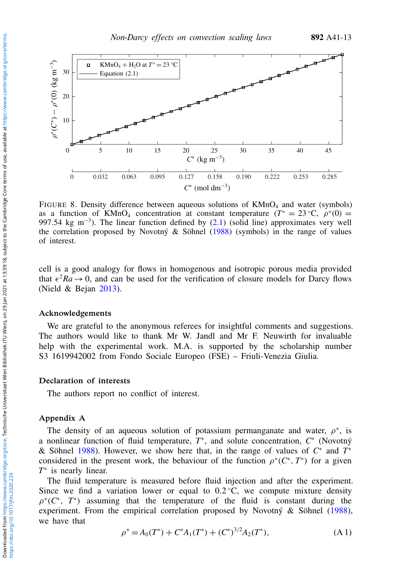<span id="page-12-1"></span>

FIGURE 8. Density difference between aqueous solutions of KMnO<sub>4</sub> and water (symbols) as a function of KMnO<sub>4</sub> concentration at constant temperature  $(T^* = 23 \degree C, \ \rho^*(0) =$ 997.54 kg m<sup>-3</sup>). The linear function defined by [\(2.1\)](#page-3-1) (solid line) approximates very well the correlation proposed by Novotný  $\&$  Söhnel [\(1988\)](#page-13-10) (symbols) in the range of values of interest.

cell is a good analogy for flows in homogenous and isotropic porous media provided that  $\epsilon^2 Ra \rightarrow 0$ , and can be used for the verification of closure models for Darcy flows (Nield & Bejan [2013\)](#page-13-20).

## Acknowledgements

We are grateful to the anonymous referees for insightful comments and suggestions. The authors would like to thank Mr W. Jandl and Mr F. Neuwirth for invaluable help with the experimental work. M.A. is supported by the scholarship number S3 1619942002 from Fondo Sociale Europeo (FSE) – Friuli-Venezia Giulia.

### Declaration of interests

The authors report no conflict of interest.

# <span id="page-12-0"></span>Appendix A

The density of an aqueous solution of potassium permanganate and water,  $\rho^*$ , is a nonlinear function of fluid temperature,  $T^*$ , and solute concentration,  $C^*$  (Novotný & Söhnel [1988\)](#page-13-10). However, we show here that, in the range of values of *C* ∗ and *T* ∗ considered in the present work, the behaviour of the function  $\rho^*(C^*, T^*)$  for a given *T*<sup>∗</sup> is nearly linear.

The fluid temperature is measured before fluid injection and after the experiment. Since we find a variation lower or equal to  $0.2\degree C$ , we compute mixture density  $\rho^*(C^*, T^*)$  assuming that the temperature of the fluid is constant during the experiment. From the empirical correlation proposed by Novotný & Söhnel [\(1988\)](#page-13-10), we have that

$$
\rho^* = A_0(T^*) + C^*A_1(T^*) + (C^*)^{3/2}A_2(T^*), \tag{A.1}
$$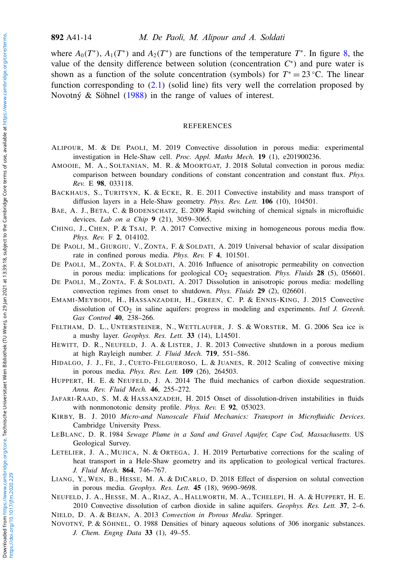where  $A_0(T^*)$ ,  $A_1(T^*)$  and  $A_2(T^*)$  are functions of the temperature  $T^*$ . In figure [8,](#page-12-1) the value of the density difference between solution (concentration  $C^*$ ) and pure water is shown as a function of the solute concentration (symbols) for  $T^* = 23$  °C. The linear function corresponding to  $(2.1)$  (solid line) fits very well the correlation proposed by Novotný & Söhnel [\(1988\)](#page-13-10) in the range of values of interest.

## REFERENCES

- <span id="page-13-12"></span>ALIPOUR, M. & DE PAOLI, M. 2019 Convective dissolution in porous media: experimental investigation in Hele-Shaw cell. *Proc. Appl. Maths Mech.* 19 (1), e201900236.
- <span id="page-13-14"></span>AMOOIE, M. A., SOLTANIAN, M. R. & MOORTGAT, J. 2018 Solutal convection in porous media: comparison between boundary conditions of constant concentration and constant flux. *Phys. Rev.* E 98, 033118.
- <span id="page-13-5"></span>BACKHAUS, S., TURITSYN, K. & ECKE, R. E. 2011 Convective instability and mass transport of diffusion layers in a Hele-Shaw geometry. *Phys. Rev. Lett.* 106 (10), 104501.
- <span id="page-13-16"></span>BAE, A. J., BETA, C. & BODENSCHATZ, E. 2009 Rapid switching of chemical signals in microfluidic devices. *Lab on a Chip* 9 (21), 3059–3065.
- <span id="page-13-11"></span>CHING, J., CHEN, P. & TSAI, P. A. 2017 Convective mixing in homogeneous porous media flow. *Phys. Rev.* F 2, 014102.
- <span id="page-13-15"></span>DE PAOLI, M., GIURGIU, V., ZONTA, F. & SOLDATI, A. 2019 Universal behavior of scalar dissipation rate in confined porous media. *Phys. Rev.* F 4, 101501.
- <span id="page-13-8"></span>DE PAOLI, M., ZONTA, F. & SOLDATI, A. 2016 Influence of anisotropic permeability on convection in porous media: implications for geological CO<sub>2</sub> sequestration. *Phys. Fluids* 28 (5), 056601.
- <span id="page-13-13"></span>DE PAOLI, M., ZONTA, F. & SOLDATI, A. 2017 Dissolution in anisotropic porous media: modelling convection regimes from onset to shutdown. *Phys. Fluids* 29 (2), 026601.
- <span id="page-13-2"></span>EMAMI-MEYBODI, H., HASSANZADEH, H., GREEN, C. P. & ENNIS-KING, J. 2015 Convective dissolution of CO<sub>2</sub> in saline aquifers: progress in modeling and experiments. *Intl J. Greenh. Gas Control* 40, 238–266.
- <span id="page-13-3"></span>FELTHAM, D. L., UNTERSTEINER, N., WETTLAUFER, J. S. & WORSTER, M. G. 2006 Sea ice is a mushy layer. *Geophys. Res. Lett.* 33 (14), L14501.
- <span id="page-13-4"></span>HEWITT, D. R., NEUFELD, J. A. & LISTER, J. R. 2013 Convective shutdown in a porous medium at high Rayleigh number. *J. Fluid Mech.* 719, 551–586.
- <span id="page-13-6"></span>HIDALGO, J. J., FE, J., CUETO-FELGUEROSO, L. & JUANES, R. 2012 Scaling of convective mixing in porous media. *Phys. Rev. Lett.* 109 (26), 264503.
- <span id="page-13-1"></span>HUPPERT, H. E. & NEUFELD, J. A. 2014 The fluid mechanics of carbon dioxide sequestration. *Annu. Rev. Fluid Mech.* 46, 255–272.
- <span id="page-13-9"></span>JAFARI-RAAD, S. M. & HASSANZADEH, H. 2015 Onset of dissolution-driven instabilities in fluids with nonmonotonic density profile. *Phys. Rev.* E 92, 053023.
- <span id="page-13-17"></span>KIRBY, B. J. 2010 *Micro-and Nanoscale Fluid Mechanics: Transport in Microfluidic Devices*. Cambridge University Press.
- <span id="page-13-0"></span>LEBLANC, D. R. 1984 *Sewage Plume in a Sand and Gravel Aquifer, Cape Cod, Massachusetts*. US Geological Survey.
- <span id="page-13-7"></span>LETELIER, J. A., MUJICA, N. & ORTEGA, J. H. 2019 Perturbative corrections for the scaling of heat transport in a Hele-Shaw geometry and its application to geological vertical fractures. *J. Fluid Mech.* 864, 746–767.
- <span id="page-13-19"></span>LIANG, Y., WEN, B., HESSE, M. A. & DICARLO, D. 2018 Effect of dispersion on solutal convection in porous media. *Geophys. Res. Lett.* 45 (18), 9690–9698.
- <span id="page-13-18"></span>NEUFELD, J. A., HESSE, M. A., RIAZ, A., HALLWORTH, M. A., TCHELEPI, H. A. & HUPPERT, H. E. 2010 Convective dissolution of carbon dioxide in saline aquifers. *Geophys. Res. Lett.* 37, 2–6.
- <span id="page-13-20"></span><span id="page-13-10"></span>NIELD, D. A. & BEJAN, A. 2013 *Convection in Porous Media*. Springer.
- NOVOTNÝ, P. & SÖHNEL, O. 1988 Densities of binary aqueous solutions of 306 inorganic substances. *J. Chem. Engng Data* 33 (1), 49–55.

https://doi.org/10.1017/jfm.2020.229